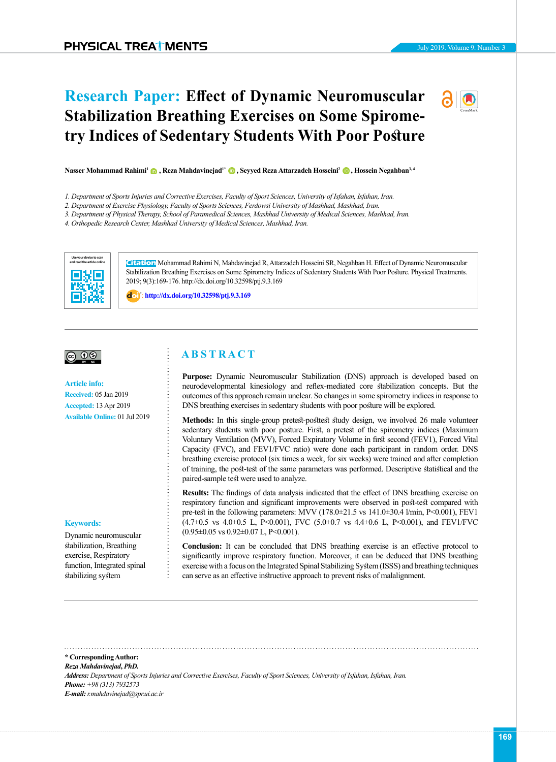# **Research Paper: Effect of Dynamic Neuromuscular Stabilization Breathing Exercises on Some Spirometry Indices of Sedentary Students With Poor Posture**



**Nasser Mohammad Rahimi<sup>1</sup> in Reza Mahdavinejad<sup>1\*</sup> in Seyyed Reza Attarzadeh Hosseini<sup>2</sup> in Hossein Negahban<sup>3[,](https://orcid.org/0000-0003-2316-9100) 4</sup>** 

- *1. Department of Sports Injuries and Corrective Exercises, Faculty of Sport Sciences, University of Isfahan, Isfahan, Iran.*
- *2. Department of Exercise Physiology, Faculty of Sports Sciences, Ferdowsi University of Mashhad, Mashhad, Iran.*
- *3. Department of Physical Therapy, School of Paramedical Sciences, Mashhad University of Medical Sciences, Mashhad, Iran.*

*4. Orthopedic Research Center, Mashhad University of Medical Sciences, Mashhad, Iran.*



**Citation** Mohammad Rahimi N, Mahdavinejad R, Attarzadeh Hosseini SR, Negahban H. Effect of Dynamic Neuromuscular Stabilization Breathing Exercises on Some Spirometry Indices of Sedentary Students With Poor Posture. Physical Treatments. 2019; 9(3):169-176. http://dx.doi.org/10.32598/ptj.9.3.169

: **<http://dx.doi.org/10.32598/ptj.9.3.169>**

#### |@ 0

#### **Article info:**

**Received:** 05 Jan 2019 **Accepted:** 13 Apr 2019 **Available Online:** 01 Jul 2019

#### **Keywords:**

Dynamic neuromuscular stabilization, Breathing exercise, Respiratory function, Integrated spinal stabilizing system

# **A B S T R A C T**

**Purpose:** Dynamic Neuromuscular Stabilization (DNS) approach is developed based on neurodevelopmental kinesiology and reflex-mediated core stabilization concepts. But the outcomes of this approach remain unclear. So changes in some spirometry indices in response to DNS breathing exercises in sedentary students with poor posture will be explored.

**Methods:** In this single-group pretest-posttest study design, we involved 26 male volunteer sedentary students with poor posture. First, a pretest of the spirometry indices (Maximum Voluntary Ventilation (MVV), Forced Expiratory Volume in first second (FEV1), Forced Vital Capacity (FVC), and FEV1/FVC ratio) were done each participant in random order. DNS breathing exercise protocol (six times a week, for six weeks) were trained and after completion of training, the post-test of the same parameters was performed. Descriptive statistical and the paired-sample test were used to analyze.

**Results:** The findings of data analysis indicated that the effect of DNS breathing exercise on respiratory function and significant improvements were observed in post-test compared with pre-test in the following parameters: MVV (178.0±21.5 vs 141.0±30.4 l/min, P<0.001), FEV1 (4.7±0.5 vs 4.0±0.5 L, P<0.001), FVC (5.0±0.7 vs 4.4±0.6 L, P<0.001), and FEV1/FVC  $(0.95\pm0.05 \text{ vs } 0.92\pm0.07 \text{ L}, P<0.001).$ 

**Conclusion:** It can be concluded that DNS breathing exercise is an effective protocol to significantly improve respiratory function. Moreover, it can be deduced that DNS breathing exercise with a focus on the Integrated Spinal Stabilizing System (ISSS) and breathing techniques can serve as an effective instructive approach to prevent risks of malalignment.

**\* Corresponding Author:** *Reza Mahdavinejad***,** *PhD. Address: Department of Sports Injuries and Corrective Exercises, Faculty of Sport Sciences, University of Isfahan, Isfahan, Iran. Phone: +98 (313) 7932573 E-mail: r.mahdavinejad@spr.ui.ac.ir*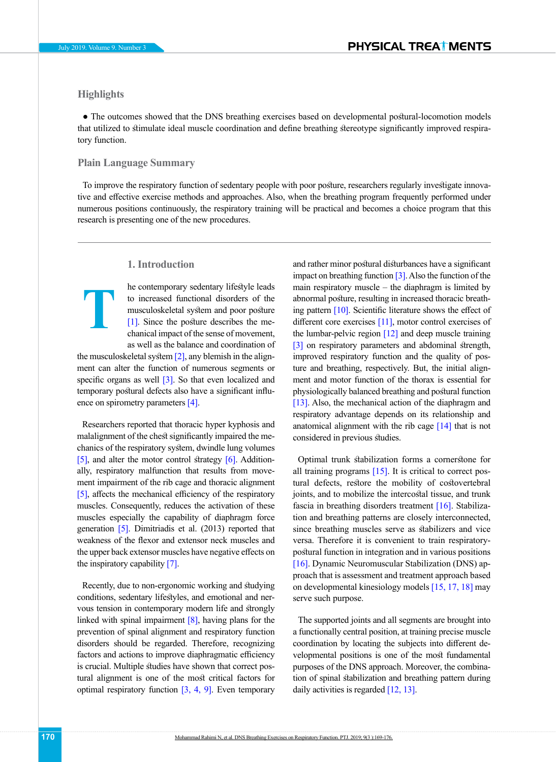# **Highlights**

**T**

• The outcomes showed that the DNS breathing exercises based on developmental postural-locomotion models that utilized to stimulate ideal muscle coordination and define breathing stereotype significantly improved respiratory function.

## **Plain Language Summary**

To improve the respiratory function of sedentary people with poor posture, researchers regularly investigate innovative and effective exercise methods and approaches. Also, when the breathing program frequently performed under numerous positions continuously, the respiratory training will be practical and becomes a choice program that this research is presenting one of the new procedures.

## **1. Introduction**

he contemporary sedentary lifestyle leads to increased functional disorders of the musculoskeletal system and poor posture [1]. Since the posture describes the mechanical impact of the sense of movement, as well as the balance and coordination of

the musculoskeletal system  $[2]$ , any blemish in the alignment can alter the function of numerous segments or specific organs as well [3]. So that even localized and temporary postural defects also have a significant influence on spirometry parameters [\[4\].](#page-6-1)

Researchers reported that thoracic hyper kyphosis and malalignment of the chest significantly impaired the mechanics of the respiratory system, dwindle lung volumes [\[5\],](#page-6-2) and alter the motor control strategy [\[6\]](#page-6-3). Additionally, respiratory malfunction that results from movement impairment of the rib cage and thoracic alignment [\[5\],](#page-6-2) affects the mechanical efficiency of the respiratory muscles. Consequently, reduces the activation of these muscles especially the capability of diaphragm force generation [\[5\].](#page-6-2) Dimitriadis et al. (2013) reported that weakness of the flexor and extensor neck muscles and the upper back extensor muscles have negative effects on the inspiratory capability [\[7\]](#page-6-4).

Recently, due to non-ergonomic working and studying conditions, sedentary lifestyles, and emotional and nervous tension in contemporary modern life and strongly linked with spinal impairment [8], having plans for the prevention of spinal alignment and respiratory function disorders should be regarded. Therefore, recognizing factors and actions to improve diaphragmatic efficiency is crucial. Multiple studies have shown that correct postural alignment is one of the most critical factors for optimal respiratory function  $[3, 4, 9]$ . Even temporary

and rather minor postural disturbances have a significant impact on breathing function  $\lceil 3 \rceil$ . Also the function of the main respiratory muscle  $-$  the diaphragm is limited by abnormal posture, resulting in increased thoracic breathing pattern [\[10\]](#page-6-6). Scientific literature shows the effect of different core exercises [\[11\]](#page-6-7), motor control exercises of the lumbar-pelvic region  $[12]$  and deep muscle training [3] on respiratory parameters and abdominal strength, improved respiratory function and the quality of posture and breathing, respectively. But, the initial alignment and motor function of the thorax is essential for physiologically balanced breathing and postural function [\[13\]](#page-6-9). Also, the mechanical action of the diaphragm and respiratory advantage depends on its relationship and anatomical alignment with the rib cage  $[14]$  that is not considered in previous studies.

Optimal trunk stabilization forms a cornerstone for all training programs  $[15]$ . It is critical to correct postural defects, restore the mobility of costovertebral joints, and to mobilize the intercostal tissue, and trunk fascia in breathing disorders treatment [\[16\].](#page-6-12) Stabilization and breathing patterns are closely interconnected, since breathing muscles serve as stabilizers and vice versa. Therefore it is convenient to train respiratorypostural function in integration and in various positions [\[16\].](#page-6-12) Dynamic Neuromuscular Stabilization (DNS) approach that is assessment and treatment approach based on developmental kinesiology models [15, [17,](#page-6-13) [18\]](#page-6-14) may serve such purpose.

The supported joints and all segments are brought into a functionally central position, at training precise muscle coordination by locating the subjects into different developmental positions is one of the most fundamental purposes of the DNS approach. Moreover, the combination of spinal stabilization and breathing pattern during daily activities is regarded [\[12,](#page-6-8) [13\]](#page-6-9).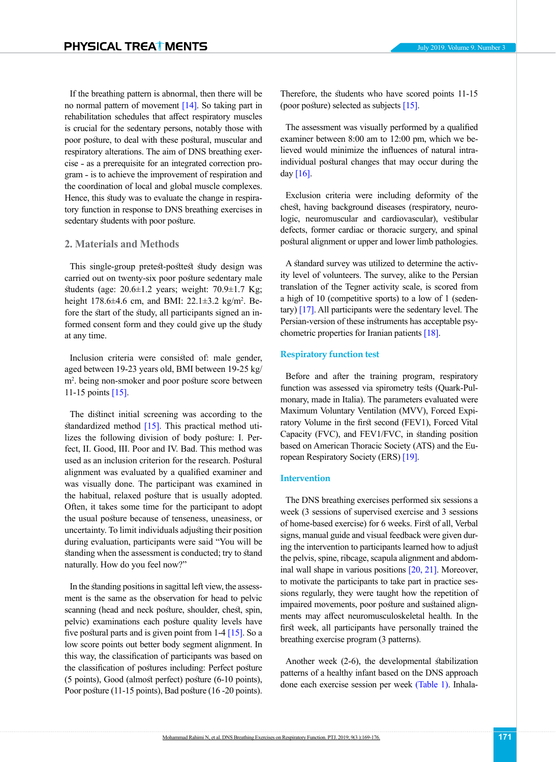If the breathing pattern is abnormal, then there will be no normal pattern of movement [\[14\].](#page-6-10) So taking part in rehabilitation schedules that affect respiratory muscles is crucial for the sedentary persons, notably those with poor posture, to deal with these postural, muscular and respiratory alterations. The aim of DNS breathing exercise - as a prerequisite for an integrated correction program - is to achieve the improvement of respiration and the coordination of local and global muscle complexes. Hence, this study was to evaluate the change in respiratory function in response to DNS breathing exercises in sedentary students with poor posture.

## **2. Materials and Methods**

This single-group pretest-posttest study design was carried out on twenty-six poor posture sedentary male students (age:  $20.6 \pm 1.2$  years; weight:  $70.9 \pm 1.7$  Kg; height  $178.6 \pm 4.6$  cm, and BMI:  $22.1 \pm 3.2$  kg/m<sup>2</sup>. Before the start of the study, all participants signed an informed consent form and they could give up the study at any time.

Inclusion criteria were consisted of: male gender, aged between 19-23 years old, BMI between 19-25 kg/ m<sup>2</sup> . being non-smoker and poor posture score between 11-15 points [\[15\]](#page-6-11).

The distinct initial screening was according to the standardized method  $[15]$ . This practical method utilizes the following division of body posture: I. Perfect, II. Good, III. Poor and IV. Bad. This method was used as an inclusion criterion for the research. Postural alignment was evaluated by a qualified examiner and was visually done. The participant was examined in the habitual, relaxed posture that is usually adopted. Often, it takes some time for the participant to adopt the usual posture because of tenseness, uneasiness, or uncertainty. To limit individuals adjusting their position during evaluation, participants were said "You will be standing when the assessment is conducted; try to stand naturally. How do you feel now?"

In the standing positions in sagittal left view, the assessment is the same as the observation for head to pelvic scanning (head and neck posture, shoulder, chest, spin, pelvic) examinations each posture quality levels have five postural parts and is given point from  $1-4$  [\[15\].](#page-6-11) So a low score points out better body segment alignment. In this way, the classification of participants was based on the classification of postures including: Perfect posture (5 points), Good (almost perfect) posture (6-10 points), Poor posture (11-15 points), Bad posture (16 -20 points).

Therefore, the students who have scored points 11-15 (poor posture) selected as subjects [\[15\].](#page-6-11)

The assessment was visually performed by a qualified examiner between 8:00 am to 12:00 pm, which we believed would minimize the influences of natural intraindividual postural changes that may occur during the day  $[16]$ .

Exclusion criteria were including deformity of the chest, having background diseases (respiratory, neurologic, neuromuscular and cardiovascular), vestibular defects, former cardiac or thoracic surgery, and spinal postural alignment or upper and lower limb pathologies.

A standard survey was utilized to determine the activity level of volunteers. The survey, alike to the Persian translation of the Tegner activity scale, is scored from a high of 10 (competitive sports) to a low of 1 (sedentary) [\[17\]](#page-6-13). All participants were the sedentary level. The Persian-version of these instruments has acceptable psychometric properties for Iranian patients [\[18\].](#page-6-14)

## **Respiratory function test**

Before and after the training program, respiratory function was assessed via spirometry tests (Quark-Pulmonary, made in Italia). The parameters evaluated were Maximum Voluntary Ventilation (MVV), Forced Expiratory Volume in the first second (FEV1), Forced Vital Capacity (FVC), and FEV1/FVC, in standing position based on American Thoracic Society (ATS) and the European Respiratory Society (ERS) [\[19\].](#page-6-15)

## **Intervention**

The DNS breathing exercises performed six sessions a week (3 sessions of supervised exercise and 3 sessions of home-based exercise) for 6 weeks. First of all, Verbal signs, manual guide and visual feedback were given during the intervention to participants learned how to adjust the pelvis, spine, ribcage, scapula alignment and abdominal wall shape in various positions [\[20,](#page-6-16) [21\].](#page-6-17) Moreover, to motivate the participants to take part in practice sessions regularly, they were taught how the repetition of impaired movements, poor posture and sustained alignments may affect neuromusculoskeletal health. In the first week, all participants have personally trained the breathing exercise program (3 patterns).

Another week (2-6), the developmental stabilization patterns of a healthy infant based on the DNS approach done each exercise session per week [\(Table 1\)](#page-3-0). Inhala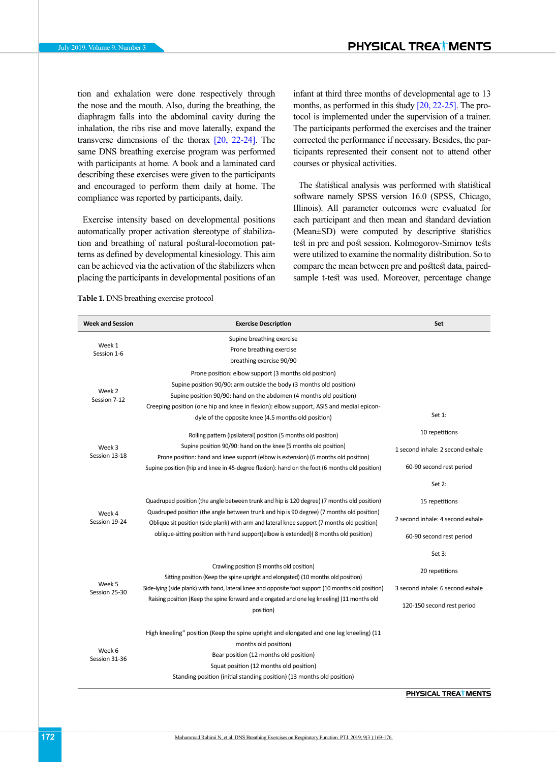tion and exhalation were done respectively through the nose and the mouth. Also, during the breathing, the diaphragm falls into the abdominal cavity during the inhalation, the ribs rise and move laterally, expand the transverse dimensions of the thorax [\[20,](#page-6-16) 22-[24\]](#page-6-18). The same DNS breathing exercise program was performed with participants at home. A book and a laminated card describing these exercises were given to the participants and encouraged to perform them daily at home. The compliance was reported by participants, daily.

Exercise intensity based on developmental positions automatically proper activation stereotype of stabilization and breathing of natural postural-locomotion patterns as defined by developmental kinesiology. This aim can be achieved via the activation of the stabilizers when placing the participants in developmental positions of an infant at third three months of developmental age to 13 months, as performed in this study [\[20,](#page-6-16) 22-[25\]](#page-6-19). The protocol is implemented under the supervision of a trainer. The participants performed the exercises and the trainer corrected the performance if necessary. Besides, the participants represented their consent not to attend other courses or physical activities.

The statistical analysis was performed with statistical software namely SPSS version 16.0 (SPSS, Chicago, Illinois). All parameter outcomes were evaluated for each participant and then mean and standard deviation (Mean±SD) were computed by descriptive statistics test in pre and post session. Kolmogorov-Smirnov tests were utilized to examine the normality distribution. So to compare the mean between pre and posttest data, pairedsample t-test was used. Moreover, percentage change

<span id="page-3-0"></span>**Table 1.** DNS breathing exercise protocol

| <b>Week and Session</b>                            | <b>Exercise Description</b>                                                                                                                                                              | Set                              |  |
|----------------------------------------------------|------------------------------------------------------------------------------------------------------------------------------------------------------------------------------------------|----------------------------------|--|
| Week 1<br>Session 1-6                              | Supine breathing exercise                                                                                                                                                                |                                  |  |
|                                                    | Prone breathing exercise                                                                                                                                                                 |                                  |  |
|                                                    | breathing exercise 90/90                                                                                                                                                                 |                                  |  |
| Week 2<br>Session 7-12                             | Prone position: elbow support (3 months old position)                                                                                                                                    |                                  |  |
|                                                    | Supine position 90/90: arm outside the body (3 months old position)                                                                                                                      |                                  |  |
|                                                    | Supine position 90/90: hand on the abdomen (4 months old position)                                                                                                                       |                                  |  |
|                                                    | Creeping position (one hip and knee in flexion): elbow support, ASIS and medial epicon-                                                                                                  |                                  |  |
|                                                    | dyle of the opposite knee (4.5 months old position)                                                                                                                                      | Set $1$ :                        |  |
| Week 3<br>Session 13-18                            | Rolling pattern (ipsilateral) position (5 months old position)                                                                                                                           | 10 repetitions                   |  |
|                                                    | Supine position 90/90: hand on the knee (5 months old position)<br>Prone position: hand and knee support (elbow is extension) (6 months old position)                                    | 1 second inhale: 2 second exhale |  |
|                                                    | Supine position (hip and knee in 45-degree flexion): hand on the foot (6 months old position)                                                                                            | 60-90 second rest period         |  |
| Week 4<br>Session 19-24<br>Week 5<br>Session 25-30 | Quadruped position (the angle between trunk and hip is 120 degree) (7 months old position)                                                                                               | Set 2:                           |  |
|                                                    |                                                                                                                                                                                          | 15 repetitions                   |  |
|                                                    | Quadruped position (the angle between trunk and hip is 90 degree) (7 months old position)<br>Oblique sit position (side plank) with arm and lateral knee support (7 months old position) | 2 second inhale: 4 second exhale |  |
|                                                    | oblique-sitting position with hand support(elbow is extended)(8 months old position)                                                                                                     | 60-90 second rest period         |  |
|                                                    |                                                                                                                                                                                          | Set 3:                           |  |
|                                                    | Crawling position (9 months old position)<br>Sitting position (Keep the spine upright and elongated) (10 months old position)                                                            | 20 repetitions                   |  |
|                                                    | Side-lying (side plank) with hand, lateral knee and opposite foot support (10 months old position)                                                                                       | 3 second inhale: 6 second exhale |  |
|                                                    | Raising position (Keep the spine forward and elongated and one leg kneeling) (11 months old<br>position)                                                                                 | 120-150 second rest period       |  |
| Week 6<br>Session 31-36                            | High kneeling" position (Keep the spine upright and elongated and one leg kneeling) (11                                                                                                  |                                  |  |
|                                                    | months old position)                                                                                                                                                                     |                                  |  |
|                                                    | Bear position (12 months old position)                                                                                                                                                   |                                  |  |
|                                                    | Squat position (12 months old position)                                                                                                                                                  |                                  |  |
|                                                    | Standing position (initial standing position) (13 months old position)                                                                                                                   |                                  |  |
|                                                    |                                                                                                                                                                                          | PHYSICAL TREAT MENTS             |  |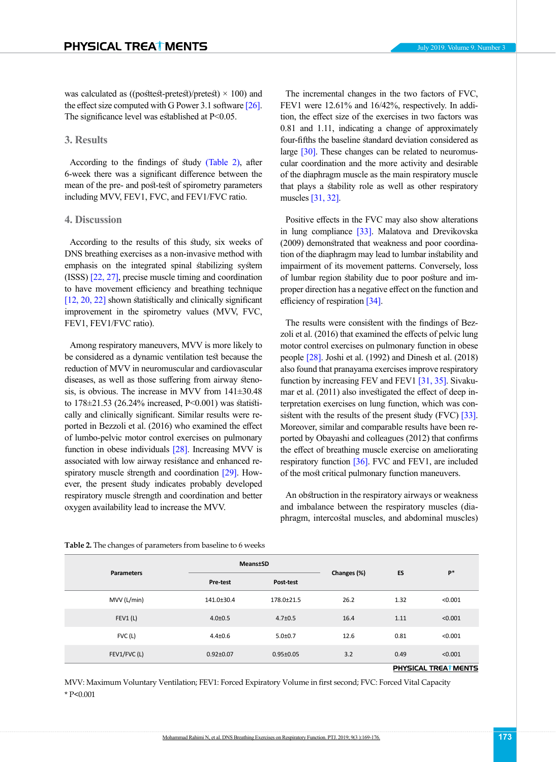was calculated as ((posttest-pretest)/pretest)  $\times$  100) and the effect size computed with G Power 3.1 software [\[26\]](#page-6-20). The significance level was established at P<0.05.

## **3. Results**

According to the findings of study [\(Table 2\),](#page-4-0) after 6-week there was a significant difference between the mean of the pre- and post-test of spirometry parameters including MVV, FEV1, FVC, and FEV1/FVC ratio.

## **4. Discussion**

According to the results of this study, six weeks of DNS breathing exercises as a non-invasive method with emphasis on the integrated spinal stabilizing system (ISSS) [22, [27\],](#page-6-21) precise muscle timing and coordination to have movement efficiency and breathing technique [\[12,](#page-6-8) [20,](#page-6-16) 22] shown statistically and clinically significant improvement in the spirometry values (MVV, FVC, FEV1, FEV1/FVC ratio).

Among respiratory maneuvers, MVV is more likely to be considered as a dynamic ventilation test because the reduction of MVV in neuromuscular and cardiovascular diseases, as well as those suffering from airway stenosis, is obvious. The increase in MVV from 141±30.48 to 178±21.53 (26.24% increased, P<0.001) was statistically and clinically significant. Similar results were reported in Bezzoli et al. (2016) who examined the effect of lumbo-pelvic motor control exercises on pulmonary function in obese individuals [\[28\]](#page-7-0). Increasing MVV is associated with low airway resistance and enhanced respiratory muscle strength and coordinatio[n \[29\].](#page-7-1) However, the present study indicates probably developed respiratory muscle strength and coordination and better oxygen availability lead to increase the MVV.

The incremental changes in the two factors of FVC, FEV1 were 12.61% and 16/42%, respectively. In addition, the effect size of the exercises in two factors was 0.81 and 1.11, indicating a change of approximately four-fifths the baseline standard deviation considered as large [\[30\]](#page-7-2). These changes can be related to neuromuscular coordination and the more activity and desirable of the diaphragm muscle as the main respiratory muscle that plays a stability role as well as other respiratory

Positive effects in the FVC may also show alterations in lung compliance [\[33\]](#page-7-5). Malatova and Drevikovska (2009) demonstrated that weakness and poor coordination of the diaphragm may lead to lumbar instability and impairment of its movement patterns. Conversely, loss of lumbar region stability due to poor posture and improper direction has a negative effect on the function and efficiency of respiration [\[34\].](#page-7-6)

muscles [\[31,](#page-7-3) [32\].](#page-7-4)

The results were consistent with the findings of Bezzoli et al. (2016) that examined the effects of pelvic lung motor control exercises on pulmonary function in obese people [\[28\]](#page-7-0). Joshi et al. (1992) and Dinesh et al. (2018) also found that pranayama exercises improve respiratory function by increasing FEV and FEV1 [\[31,](#page-7-3) [35\]](#page-7-7). Sivakumar et al. (2011) also investigated the effect of deep interpretation exercises on lung function, which was con-sistent with the results of the present study (FVC) [\[33\].](#page-7-5) Moreover, similar and comparable results have been reported by Obayashi and colleagues (2012) that confirms the effect of breathing muscle exercise on ameliorating respiratory function [\[36\]](#page-7-8). FVC and FEV1, are included of the most critical pulmonary function maneuvers.

An obstruction in the respiratory airways or weakness and imbalance between the respiratory muscles (diaphragm, intercostal muscles, and abdominal muscles)

| <b>Parameters</b> | <b>Means</b> ±SD     |                 | Changes (%) | ES   | $P*$    |  |
|-------------------|----------------------|-----------------|-------------|------|---------|--|
|                   | Pre-test             | Post-test       |             |      |         |  |
| MVV (L/min)       | 141.0±30.4           | 178.0±21.5      | 26.2        | 1.32 | < 0.001 |  |
| FEV1(L)           | $4.0 \pm 0.5$        | $4.7 \pm 0.5$   | 16.4        | 1.11 | < 0.001 |  |
| FVC(L)            | $4.4 \pm 0.6$        | $5.0 + 0.7$     | 12.6        | 0.81 | < 0.001 |  |
| FEV1/FVC (L)      | $0.92 \pm 0.07$      | $0.95 \pm 0.05$ | 3.2         | 0.49 | < 0.001 |  |
|                   | PHYSICAL TREAT MENTS |                 |             |      |         |  |

#### <span id="page-4-0"></span>**Table 2.** The changes of parameters from baseline to 6 weeks

MVV: Maximum Voluntary Ventilation; FEV1: Forced Expiratory Volume in first second; FVC: Forced Vital Capacity \* P<0.001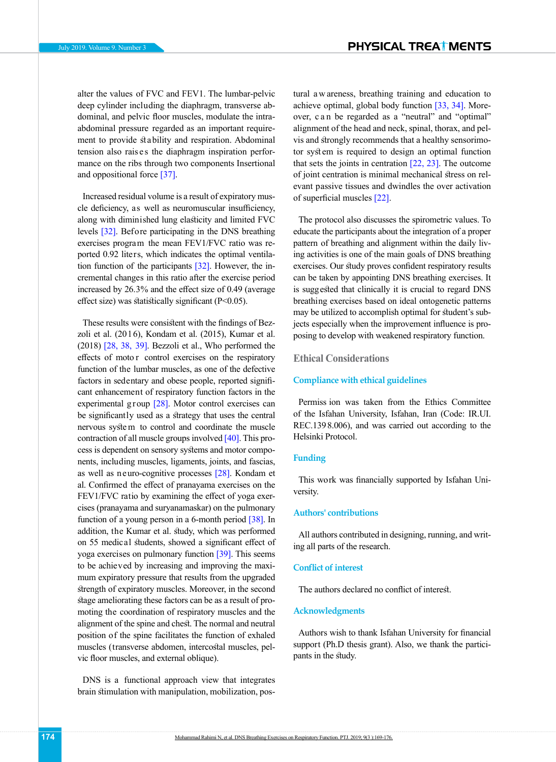alter the values of FVC and FEV1. The lumbar-pelvic deep cylinder including the diaphragm, transverse abdominal, and pelvic floor muscles, modulate the intraabdominal pressure regarded as an important requirement to provide stability and respiration. Abdominal tension also rais es the diaphragm inspiration performance on the ribs through two components Insertional and oppositional force [37].

Increased residual volume is a result of expiratory muscle deficiency, as well as neuromuscular insufficiency, along with diminished lung elasticity and limited FVC levels [\[32\].](#page-7-4) Before participating in the DNS breathing exercises program the mean FEV1/FVC ratio was reported 0.92 liters, which indicates the optimal ventilation function of the participants  $[32]$ . However, the incremental changes in this ratio after the exercise period increased by 26.3% and the effect size of 0.49 (average effect size) was statistically significant (P<0.05).

These results were consistent with the findings of Bezzoli et al. (2016), Kondam et al. (2015), Kumar et al.  $(2018)$   $[28, 38, 39]$  $[28, 38, 39]$  $[28, 38, 39]$  $[28, 38, 39]$  $[28, 38, 39]$ . Bezzoli et al., Who performed the effects of moto r control exercises on the respiratory function of the lumbar muscles, as one of the defective factors in sedentary and obese people, reported significant enhancement of respiratory function factors in the experimental group [\[28\]](#page-7-0). Motor control exercises can be significantly used as a strategy that uses the central nervous syste m to control and coordinate the muscle contraction of all muscle groups involved  $[40]$ . This process is dependent on sensory systems and motor components, including muscles, ligaments, joints, and fascias, as well as neuro-cognitive processes [\[28\].](#page-7-0) Kondam et al. Confirmed the effect of pranayama exercises on the FEV1/FVC ratio by examining the effect of yoga exercises (pranayama and suryanamaskar) on the pulmonary function of a young person in a 6-month period  $\sqrt{38}$ . In addition, the Kumar et al. study, which was performed on 55 medical students, showed a significant effect of yoga exercises on pulmonary function [\[39\]](#page-7-10). This seems to be achieved by increasing and improving the maximum expiratory pressure that results from the upgraded strength of expiratory muscles. Moreover, in the second stage ameliorating these factors can be as a result of promoting the coordination of respiratory muscles and the alignment of the spine and chest. The normal and neutral position of the spine facilitates the function of exhaled muscles (transverse abdomen, intercostal muscles, pelvic floor muscles, and external oblique).

DNS is a functional approach view that integrates brain stimulation with manipulation, mobilization, postural a w areness, breathing training and education to achieve optimal, global body function [\[33,](#page-7-5) [34\]](#page-7-6). Moreover, c a n be regarded as a "neutral" and "optimal" alignment of the head and neck, spinal, thorax, and pelvis and strongly recommends that a healthy sensorimotor syst em is required to design an optimal function that sets the joints in centration  $[22, 23]$  $[22, 23]$ . The outcome of joint centration is minimal mechanical stress on relevant passive tissues and dwindles the over activation of superficial muscles [22].

The protocol also discusses the spirometric values. To educate the participants about the integration of a proper pattern of breathing and alignment within the daily living activities is one of the main goals of DNS breathing exercises. Our study proves confident respiratory results can be taken by appointing DNS breathing exercises. It is suggested that clinically it is crucial to regard DNS breathing exercises based on ideal ontogenetic patterns may be utilized to accomplish optimal for student's subjects especially when the improvement influence is proposing to develop with weakened respiratory function.

## **Ethical Considerations**

## **Compliance with ethical guidelines**

Permiss ion was taken from the Ethics Committee of the Isfahan University, Isfahan, Iran (Code: IR.UI. REC.139 8.006), and was carried out according to the Helsinki Protocol.

## **Funding**

This work was financially supported by Isfahan University.

#### **Authors' contributions**

All authors contributed in designing, running, and writing all parts of the research.

#### **Conflict of interest**

The authors declared no conflict of interest.

#### **Acknowledgments**

Authors wish to thank Isfahan University for financial support (Ph.D thesis grant). Also, we thank the participants in the study.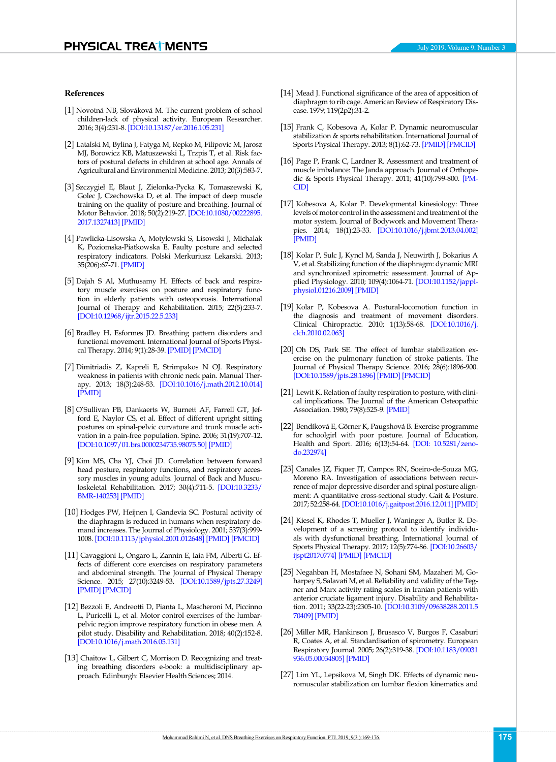#### **References**

- [1] Novotná NB, Slováková M. The current problem of school children-lack of physical activity. European Researcher. 2016; 3(4):231-8. [[DOI:10.13187/er.2016.105.231](https://elibrary.ru/item.asp?id=26190505)]
- <span id="page-6-0"></span>[2] Latalski M, Bylina J, Fatyga M, Repko M, Filipovic M, Jarosz MJ, Borowicz KB, Matuszewski L, Trzpis T, et al. Risk factors of postural defects in children at school age. Annals of Agricultural and Environmental Medicine. 2013; 20(3):583-7.
- [3] Szczygieł E, Blaut J, Zielonka-Pycka K, Tomaszewski K, Golec J, Czechowska D, et al. The impact of deep muscle training on the quality of posture and breathing. Journal of Motor Behavior. 2018; 50(2):219-27. [\[DOI:10.1080/00222895.](https://doi.org/10.1080/00222895.2017.1327413) [2017.1327413](https://doi.org/10.1080/00222895.2017.1327413)] [\[PMID\]](https://www.ncbi.nlm.nih.gov/pubmed/28820662)
- <span id="page-6-1"></span>[4] Pawlicka-Lisowska A, Motylewski S, Lisowski J, Michalak K, Poziomska-Piatkowska E. Faulty posture and selected respiratory indicators. Polski Merkuriusz Lekarski. 2013; 35(206):67-71. [\[PMID\]](https://europepmc.org/abstract/med/24052983)
- <span id="page-6-2"></span>[5] Dajah S Al, Muthusamy H. Effects of back and respiratory muscle exercises on posture and respiratory function in elderly patients with osteoporosis. International Journal of Therapy and Rehabilitation. 2015; 22(5):233-7. [[DOI:10.12968/ijtr.2015.22.5.233\]](https://doi.org/10.12968/ijtr.2015.22.5.233)
- <span id="page-6-3"></span>[6] Bradley H, Esformes JD. Breathing pattern disorders and functional movement. International Journal of Sports Physical Therapy. 2014; 9(1):28-39. [\[PMID\]](https://www.ncbi.nlm.nih.gov/pmc/articles/PMC3924606/) [[PMCID\]](https://www.ncbi.nlm.nih.gov/pmc/articles/PMC3924606/)
- <span id="page-6-4"></span>[7] Dimitriadis Z, Kapreli E, Strimpakos N OJ. Respiratory weakness in patients with chronic neck pain. Manual Therapy. 2013; 18(3):248-53. [[DOI:10.1016/j.math.2012.10.014](https://doi.org/10.1016/j.math.2012.10.014)] [[PMID](https://www.ncbi.nlm.nih.gov/pubmed/23199797)]
- [8] O'Sullivan PB, Dankaerts W, Burnett AF, Farrell GT, Jefford E, Naylor CS, et al. Effect of different upright sitting postures on spinal-pelvic curvature and trunk muscle activation in a pain-free population. Spine. 2006; 31(19):707-12. [[DOI:10.1097/01.brs.0000234735.98075.50](https://doi.org/10.1097/01.brs.0000234735.98075.50)] [\[PMID\]](https://www.ncbi.nlm.nih.gov/pubmed/16946644)
- <span id="page-6-5"></span>[9] Kim MS, Cha YJ, Choi JD. Correlation between forward head posture, respiratory functions, and respiratory accessory muscles in young adults. Journal of Back and Musculoskeletal Rehabilitation. 2017; 30(4):711-5. [\[DOI:10.3233/](https://doi.org/10.3233/BMR-140253) [BMR-140253\]](https://doi.org/10.3233/BMR-140253) [[PMID](https://www.ncbi.nlm.nih.gov/pubmed/28453447)]
- <span id="page-6-6"></span>[10] Hodges PW, Heijnen I, Gandevia SC. Postural activity of the diaphragm is reduced in humans when respiratory demand increases. The Journal of Physiology. 2001; 537(3):999- 1008. [[DOI:10.1113/jphysiol.2001.012648\]](https://doi.org/10.1113/jphysiol.2001.012648) [[PMID](https://www.ncbi.nlm.nih.gov/pubmed/11744772)] [\[PMCID](http://www.ncbi.nlm.nih.gov/pmc/articles/PMC2278995)]
- <span id="page-6-7"></span>[11] Cavaggioni L, Ongaro L, Zannin E, Iaia FM, Alberti G. Effects of different core exercises on respiratory parameters and abdominal strength. The Journal of Physical Therapy Science. 2015; 27(10):3249-53. [\[DOI:10.1589/jpts.27.3249](https://doi.org/10.1589/jpts.27.3249)] [[PMID](https://www.ncbi.nlm.nih.gov/pubmed/26644685)] [\[PMCID](http://www.ncbi.nlm.nih.gov/pmc/articles/PMC4668176)]
- <span id="page-6-8"></span>[12] Bezzoli E, Andreotti D, Pianta L, Mascheroni M, Piccinno L, Puricelli L, et al. Motor control exercises of the lumbarpelvic region improve respiratory function in obese men. A pilot study. Disability and Rehabilitation. 2018; 40(2):152-8. [[DOI:10.1016/j.math.2016.05.131\]](https://doi.org/10.1016/j.math.2016.05.131)
- <span id="page-6-9"></span>[13] Chaitow L, Gilbert C, Morrison D. Recognizing and treating breathing disorders e-book: a multidisciplinary approach. Edinburgh: Elsevier Health Sciences; 2014.
- <span id="page-6-10"></span>[14] [Mead](https://www.atsjournals.org/author/Mead%2C+Jere) J. Functional significance of the area of apposition of diaphragm to rib cage. American Review of Respiratory Disease. 1979; 119(2p2):31-2.
- <span id="page-6-11"></span>[15] Frank C, Kobesova A, Kolar P. Dynamic neuromuscular stabilization & sports rehabilitation. International Journal of Sports Physical Therapy. 2013; 8(1):62-73. [\[PMID\]](https://www.ncbi.nlm.nih.gov/pmc/articles/PMC3578435/) [[PMCID\]](https://www.ncbi.nlm.nih.gov/pmc/articles/PMC3578435/)
- <span id="page-6-12"></span>[16] Page P, Frank C, Lardner R. Assessment and treatment of muscle imbalance: The Janda approach. Journal of Orthopedic & Sports Physical Therapy. 2011; 41(10):799-800. [[PM-](https://www.ncbi.nlm.nih.gov/pmc/articles/PMC3364069/)[CID\]](https://www.ncbi.nlm.nih.gov/pmc/articles/PMC3364069/)
- <span id="page-6-13"></span>[17] Kobesova A, Kolar P. Developmental kinesiology: Three levels of motor control in the assessment and treatment of the motor system. Journal of Bodywork and Movement Therapies. 2014; 18(1):23-33. [[DOI:10.1016/j.jbmt.2013.04.002\]](https://doi.org/10.1016/j.jbmt.2013.04.002) [\[PMID\]](https://www.ncbi.nlm.nih.gov/pubmed/24411146)
- <span id="page-6-14"></span>[18] Kolar P, Sulc J, Kyncl M, Sanda J, Neuwirth J, Bokarius A V, et al. Stabilizing function of the diaphragm: dynamic MRI and synchronized spirometric assessment. Journal of Applied Physiology. 2010; 109(4):1064-71. [[DOI:10.1152/jappl](https://doi.org/10.1152/japplphysiol.01216.2009)[physiol.01216.2009](https://doi.org/10.1152/japplphysiol.01216.2009)] [\[PMID\]](https://www.ncbi.nlm.nih.gov/pubmed/20705944)
- <span id="page-6-15"></span>[19] Kolar P, Kobesova A. Postural-locomotion function in the diagnosis and treatment of movement disorders. Clinical Chiropractic. 2010; 1(13):58-68. [[DOI:10.1016/j.](https://doi.org/10.1016/j.clch.2010.02.063) [clch.2010.02.063](https://doi.org/10.1016/j.clch.2010.02.063)]
- <span id="page-6-16"></span>[20] Oh DS, Park SE. The effect of lumbar stabilization exercise on the pulmonary function of stroke patients. The Journal of Physical Therapy Science. 2016; 28(6):1896-900. [\[DOI:10.1589/jpts.28.1896](https://doi.org/10.1589/jpts.28.1896)] [\[PMID\]](https://www.ncbi.nlm.nih.gov/pubmed/27390442) [\[PMCID\]](http://www.ncbi.nlm.nih.gov/pmc/articles/PMC4932083)
- <span id="page-6-17"></span>[21] Lewit K. Relation of faulty respiration to posture, with clinical implications. The Journal of the American Osteopathic Association. 1980; 79(8):525-9. [\[PMID\]](https://www.ncbi.nlm.nih.gov/pubmed/7364597)
- [22] Bendíková E, Görner K, Paugshová B. Exercise programme for schoolgirl with poor posture. Journal of Education, Health and Sport. 2016; 6(13):54-64. [[DOI: 10.5281/zeno](https://pbn.nauka.gov.pl/sedno-webapp/works/777276)[do.232974\]](https://pbn.nauka.gov.pl/sedno-webapp/works/777276)
- <span id="page-6-22"></span>[23] Canales JZ, Fiquer JT, Campos RN, Soeiro-de-Souza MG, Moreno RA. Investigation of associations between recurrence of major depressive disorder and spinal posture alignment: A quantitative cross-sectional study. Gait & Posture. 2017; 52:258-64. [[DOI:10.1016/j.gaitpost.2016.12.011\]](https://doi.org/10.1016/j.gaitpost.2016.12.011) [\[PMID\]](https://www.ncbi.nlm.nih.gov/pubmed/27987469)
- <span id="page-6-18"></span>[24] Kiesel K, Rhodes T, Mueller J, Waninger A, Butler R. Development of a screening protocol to identify individuals with dysfunctional breathing. International Journal of Sports Physical Therapy. 2017; 12(5):774-86. [\[DOI:10.26603/](https://doi.org/10.26603/ijspt20170774) [ijspt20170774\]](https://doi.org/10.26603/ijspt20170774) [[PMID](https://www.ncbi.nlm.nih.gov/pubmed/29181255)] [\[PMCID](http://www.ncbi.nlm.nih.gov/pmc/articles/PMC5685417)]
- <span id="page-6-19"></span>[25] Negahban H, Mostafaee N, Sohani SM, Mazaheri M, Goharpey S, Salavati M, et al. Reliability and validity of the Tegner and Marx activity rating scales in Iranian patients with anterior cruciate ligament injury. Disability and Rehabilitation. 2011; 33(22-23):2305-10. [[DOI:10.3109/09638288.2011.5](https://doi.org/10.3109/09638288.2011.570409) [70409\]](https://doi.org/10.3109/09638288.2011.570409) [[PMID](https://www.ncbi.nlm.nih.gov/pubmed/21491968)]
- <span id="page-6-20"></span>[26] Miller MR, Hankinson J, Brusasco V, Burgos F, Casaburi R, Coates A, et al. Standardisation of spirometry. European Respiratory Journal. 2005; 26(2):319-38. [\[DOI:10.1183/09031](https://doi.org/10.1183/09031936.05.00034805) [936.05.00034805](https://doi.org/10.1183/09031936.05.00034805)] [\[PMID\]](https://www.ncbi.nlm.nih.gov/pubmed/16055882)
- <span id="page-6-21"></span>[27] Lim YL, Lepsikova M, Singh DK. Effects of dynamic neuromuscular stabilization on lumbar flexion kinematics and